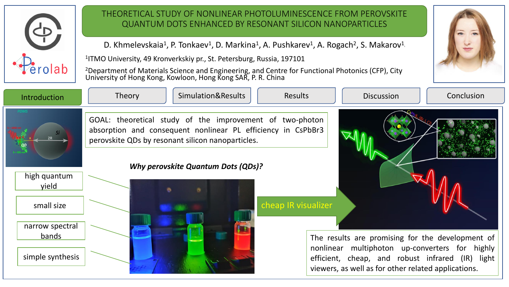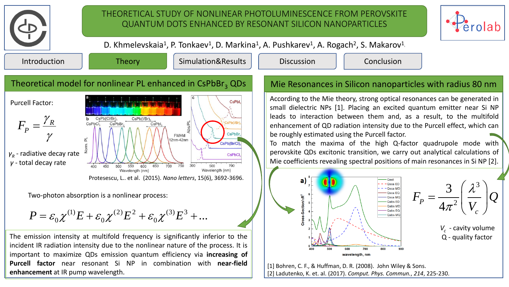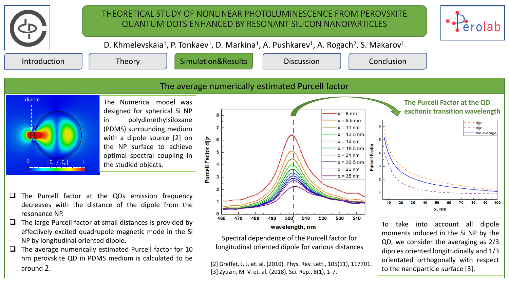

effectively excited quadrupole magnetic mode in the Si

The average numerically estimated Purcell factor for 10 nm perovskite QD in PDMS medium is calculated to be

NP by longitudinal oriented dipole.

around 2.

Spectral dependence of the Purcell factor for longitudinal oriented dipole for various distances

[2] Greffet, J. J. et. al. (2010). Phys. Rev. Lett., 105(11), 117701. [3] Zyuzin, M. V. et. al. (2018). Sci. Rep., 8(1), 1-7.

wavelength, nm

To take into account all dipole moments induced in the Si NP by the QD, we consider the averaging as 2/3 dipoles oriented longitudinally and 1/3 orientated orthogonally with respect to the nanoparticle surface [3].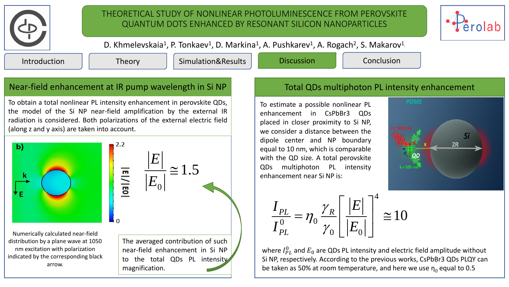

## THEORETICAL STUDY OF NONLINEAR PHOTOLUMINESCENCE FROM PEROVSKITE QUANTUM DOTS ENHANCED BY RESONANT SILICON NANOPARTICLES



D. Khmelevskaia<sup>1</sup>, P. Tonkaev<sup>1</sup>, D. Markina<sup>1</sup>, A. Pushkarev<sup>1</sup>, A. Rogach<sup>2</sup>, S. Makarov<sup>1</sup>

Introduction Theory Simulation&Results Discussion Conclusion

## Near-field enhancement at IR pump wavelength in Si NP

To obtain a total nonlinear PL intensity enhancement in perovskite QDs, the model of the Si NP near-field amplification by the external IR radiation is considered. Both polarizations of the external electric field (along z and y axis) are taken into account.



Numerically calculated near-field distribution by a plane wave at 1050 nm excitation with polarization indicated by the corresponding black arrow.



The averaged contribution of such near-field enhancement in Si NP to the total QDs PL intensity magnification.

## Total QDs multiphoton PL intensity enhancement

To estimate a possible nonlinear PL enhancement in CsPbBr3 QDs placed in closer proximity to Si NP, we consider a distance between the dipole center and NP boundary equal to 10 nm, which is comparable with the QD size. A total perovskite QDs multiphoton PL intensity enhancement near Si NP is:



4  $_{0}$   $\prime$ <sub>10</sub>  $\bigcup_0 \bigsqcup E_0$  $\frac{PL}{0} = \eta_0 \frac{\gamma_R}{\gamma_R} \left| \frac{|E|}{\gamma_E} \right| \approx 10$ *PL*  $I_{PL}$  *i*  $\gamma_R$   $E$  $\frac{I}{I_{PL}^0} = \eta_0 \frac{I_{R}}{\gamma_0} \left| \frac{I_{R}}{E} \right|$  $\gamma$  $\eta$  $\gamma$  $\left\lceil \left\lvert E\right\rvert \right\rceil ^{4}$  $=\eta_0 \frac{\gamma_R}{\gamma_L} \left| \frac{|E|}{|E|} \right| \approx 10$  $\left[\left|E_{0}\right|\right]$  =

where  $I_{PL}^0$  and  $E_0$  are QDs PL intensity and electric field amplitude without Si NP, respectively. According to the previous works, CsPbBr3 QDs PLQY can be taken as 50% at room temperature, and here we use  $\eta_0$  equal to 0.5